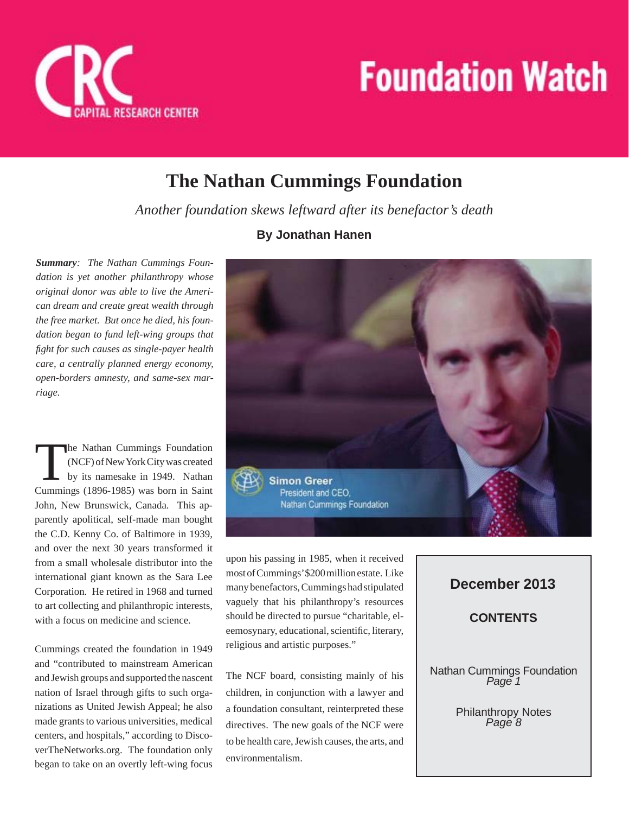

## **The Nathan Cummings Foundation**

*Another foundation skews leftward after its benefactor's death*

*Summary: The Nathan Cummings Foundation is yet another philanthropy whose original donor was able to live the American dream and create great wealth through the free market. But once he died, his foundation began to fund left-wing groups that fi ght for such causes as single-payer health care, a centrally planned energy economy, open-borders amnesty, and same-sex marriage.* 

The Nathan Cummings Foundation<br>(NCF) of New York City was created<br>by its namesake in 1949. Nathan (NCF) of New York City was created by its namesake in 1949. Nathan Cummings (1896-1985) was born in Saint John, New Brunswick, Canada. This apparently apolitical, self-made man bought the C.D. Kenny Co. of Baltimore in 1939, and over the next 30 years transformed it from a small wholesale distributor into the international giant known as the Sara Lee Corporation. He retired in 1968 and turned to art collecting and philanthropic interests, with a focus on medicine and science.

Cummings created the foundation in 1949 and "contributed to mainstream American and Jewish groups and supported the nascent nation of Israel through gifts to such organizations as United Jewish Appeal; he also made grants to various universities, medical centers, and hospitals," according to DiscoverTheNetworks.org. The foundation only began to take on an overtly left-wing focus

#### **By Jonathan Hanen**



upon his passing in 1985, when it received most of Cummings' \$200 million estate. Like many benefactors, Cummings had stipulated vaguely that his philanthropy's resources should be directed to pursue "charitable, eleemosynary, educational, scientific, literary, religious and artistic purposes."

The NCF board, consisting mainly of his children, in conjunction with a lawyer and a foundation consultant, reinterpreted these directives. The new goals of the NCF were to be health care, Jewish causes, the arts, and environmentalism.

#### **December 2013**

**CONTENTS**

Nathan Cummings Foundation *Page 1*

Philanthropy Notes *Page 8*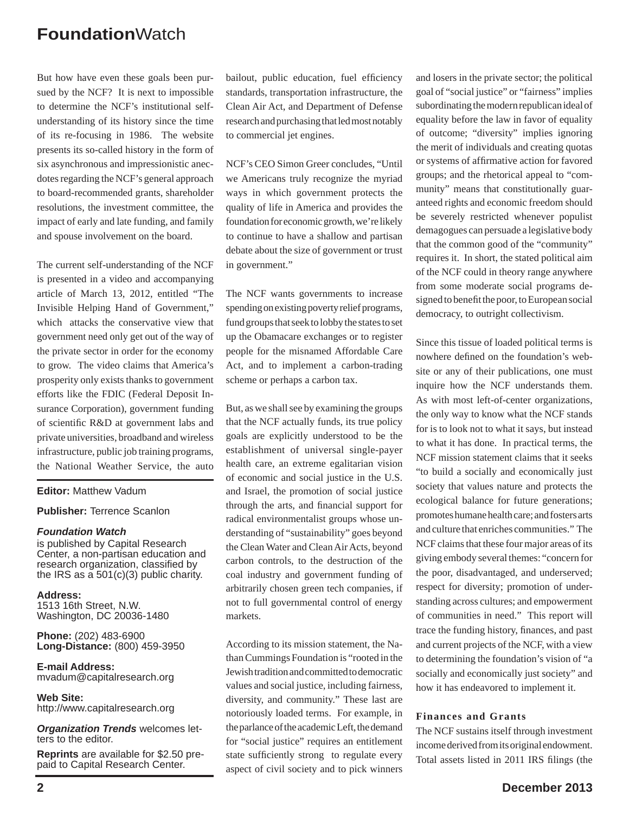But how have even these goals been pursued by the NCF? It is next to impossible to determine the NCF's institutional selfunderstanding of its history since the time of its re-focusing in 1986. The website presents its so-called history in the form of six asynchronous and impressionistic anecdotes regarding the NCF's general approach to board-recommended grants, shareholder resolutions, the investment committee, the impact of early and late funding, and family and spouse involvement on the board.

The current self-understanding of the NCF is presented in a video and accompanying article of March 13, 2012, entitled "The Invisible Helping Hand of Government," which attacks the conservative view that government need only get out of the way of the private sector in order for the economy to grow. The video claims that America's prosperity only exists thanks to government efforts like the FDIC (Federal Deposit Insurance Corporation), government funding of scientific R&D at government labs and private universities, broadband and wireless infrastructure, public job training programs, the National Weather Service, the auto

#### **Editor:** Matthew Vadum

#### **Publisher:** Terrence Scanlon

#### *Foundation Watch*

is published by Capital Research Center, a non-partisan education and research organization, classified by the IRS as a 501(c)(3) public charity.

**Address:** 1513 16th Street, N.W. Washington, DC 20036-1480

**Phone:** (202) 483-6900 **Long-Distance:** (800) 459-3950

**E-mail Address:** mvadum@capitalresearch.org

**Web Site:** http://www.capitalresearch.org

*Organization Trends* welcomes letters to the editor.

**Reprints** are available for \$2.50 prepaid to Capital Research Center.

bailout, public education, fuel efficiency standards, transportation infrastructure, the Clean Air Act, and Department of Defense research and purchasing that led most notably to commercial jet engines.

NCF's CEO Simon Greer concludes, "Until we Americans truly recognize the myriad ways in which government protects the quality of life in America and provides the foundation for economic growth, we're likely to continue to have a shallow and partisan debate about the size of government or trust in government."

The NCF wants governments to increase spending on existing poverty relief programs, fund groups that seek to lobby the states to set up the Obamacare exchanges or to register people for the misnamed Affordable Care Act, and to implement a carbon-trading scheme or perhaps a carbon tax.

But, as we shall see by examining the groups that the NCF actually funds, its true policy goals are explicitly understood to be the establishment of universal single-payer health care, an extreme egalitarian vision of economic and social justice in the U.S. and Israel, the promotion of social justice through the arts, and financial support for radical environmentalist groups whose understanding of "sustainability" goes beyond the Clean Water and Clean Air Acts, beyond carbon controls, to the destruction of the coal industry and government funding of arbitrarily chosen green tech companies, if not to full governmental control of energy markets.

According to its mission statement, the Nathan Cummings Foundation is "rooted in the Jewish tradition and committed to democratic values and social justice, including fairness, diversity, and community." These last are notoriously loaded terms. For example, in the parlance of the academic Left, the demand for "social justice" requires an entitlement state sufficiently strong to regulate every aspect of civil society and to pick winners

and losers in the private sector; the political goal of "social justice" or "fairness" implies subordinating the modern republican ideal of equality before the law in favor of equality of outcome; "diversity" implies ignoring the merit of individuals and creating quotas or systems of affirmative action for favored groups; and the rhetorical appeal to "community" means that constitutionally guaranteed rights and economic freedom should be severely restricted whenever populist demagogues can persuade a legislative body that the common good of the "community" requires it. In short, the stated political aim of the NCF could in theory range anywhere from some moderate social programs designed to benefit the poor, to European social democracy, to outright collectivism.

Since this tissue of loaded political terms is nowhere defined on the foundation's website or any of their publications, one must inquire how the NCF understands them. As with most left-of-center organizations, the only way to know what the NCF stands for is to look not to what it says, but instead to what it has done. In practical terms, the NCF mission statement claims that it seeks "to build a socially and economically just society that values nature and protects the ecological balance for future generations; promotes humane health care; and fosters arts and culture that enriches communities." The NCF claims that these four major areas of its giving embody several themes: "concern for the poor, disadvantaged, and underserved; respect for diversity; promotion of understanding across cultures; and empowerment of communities in need." This report will trace the funding history, finances, and past and current projects of the NCF, with a view to determining the foundation's vision of "a socially and economically just society" and how it has endeavored to implement it.

#### **Finances and Grants**

The NCF sustains itself through investment income derived from its original endowment. Total assets listed in 2011 IRS filings (the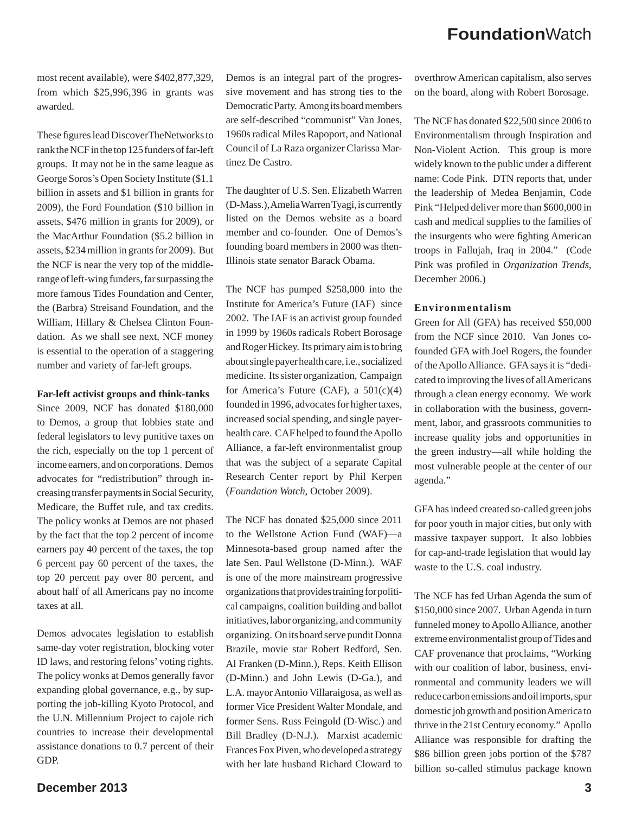most recent available), were \$402,877,329, from which \$25,996,396 in grants was awarded.

These figures lead DiscoverTheNetworks to rank theNCF in the top 125 funders of far-left groups. It may not be in the same league as George Soros's Open Society Institute (\$1.1 billion in assets and \$1 billion in grants for 2009), the Ford Foundation (\$10 billion in assets, \$476 million in grants for 2009), or the MacArthur Foundation (\$5.2 billion in assets, \$234 million in grants for 2009). But the NCF is near the very top of the middlerange of left-wing funders, far surpassing the more famous Tides Foundation and Center, the (Barbra) Streisand Foundation, and the William, Hillary & Chelsea Clinton Foundation. As we shall see next, NCF money is essential to the operation of a staggering number and variety of far-left groups.

#### **Far-left activist groups and think-tanks**

Since 2009, NCF has donated \$180,000 to Demos, a group that lobbies state and federal legislators to levy punitive taxes on the rich, especially on the top 1 percent of income earners, and on corporations. Demos advocates for "redistribution" through increasing transfer payments in Social Security, Medicare, the Buffet rule, and tax credits. The policy wonks at Demos are not phased by the fact that the top 2 percent of income earners pay 40 percent of the taxes, the top 6 percent pay 60 percent of the taxes, the top 20 percent pay over 80 percent, and about half of all Americans pay no income taxes at all.

Demos advocates legislation to establish same-day voter registration, blocking voter ID laws, and restoring felons' voting rights. The policy wonks at Demos generally favor expanding global governance, e.g., by supporting the job-killing Kyoto Protocol, and the U.N. Millennium Project to cajole rich countries to increase their developmental assistance donations to 0.7 percent of their GDP.

Demos is an integral part of the progressive movement and has strong ties to the Democratic Party. Among its board members are self-described "communist" Van Jones, 1960s radical Miles Rapoport, and National Council of La Raza organizer Clarissa Martinez De Castro.

The daughter of U.S. Sen. Elizabeth Warren (D-Mass.), Amelia Warren Tyagi, is currently listed on the Demos website as a board member and co-founder. One of Demos's founding board members in 2000 was then-Illinois state senator Barack Obama.

The NCF has pumped \$258,000 into the Institute for America's Future (IAF) since 2002. The IAF is an activist group founded in 1999 by 1960s radicals Robert Borosage and Roger Hickey. Its primary aim is to bring about single payer health care, i.e., socialized medicine. Its sister organization, Campaign for America's Future (CAF), a  $501(c)(4)$ founded in 1996, advocates for higher taxes, increased social spending, and single payerhealth care. CAF helped to found the Apollo Alliance, a far-left environmentalist group that was the subject of a separate Capital Research Center report by Phil Kerpen (*Foundation Watch*, October 2009).

The NCF has donated \$25,000 since 2011 to the Wellstone Action Fund (WAF)—a Minnesota-based group named after the late Sen. Paul Wellstone (D-Minn.). WAF is one of the more mainstream progressive organizations that provides training for political campaigns, coalition building and ballot initiatives, labor organizing, and community organizing. On its board serve pundit Donna Brazile, movie star Robert Redford, Sen. Al Franken (D-Minn.), Reps. Keith Ellison (D-Minn.) and John Lewis (D-Ga.), and L.A. mayor Antonio Villaraigosa, as well as former Vice President Walter Mondale, and former Sens. Russ Feingold (D-Wisc.) and Bill Bradley (D-N.J.). Marxist academic Frances Fox Piven, who developed a strategy with her late husband Richard Cloward to

overthrow American capitalism, also serves on the board, along with Robert Borosage.

The NCF has donated \$22,500 since 2006 to Environmentalism through Inspiration and Non-Violent Action. This group is more widely known to the public under a different name: Code Pink. DTN reports that, under the leadership of Medea Benjamin, Code Pink "Helped deliver more than \$600,000 in cash and medical supplies to the families of the insurgents who were fighting American troops in Fallujah, Iraq in 2004." (Code Pink was profiled in *Organization Trends*, December 2006.)

#### **Environmentalism**

Green for All (GFA) has received \$50,000 from the NCF since 2010. Van Jones cofounded GFA with Joel Rogers, the founder of the Apollo Alliance. GFA says it is "dedicated to improving the lives of all Americans through a clean energy economy. We work in collaboration with the business, government, labor, and grassroots communities to increase quality jobs and opportunities in the green industry—all while holding the most vulnerable people at the center of our agenda."

GFA has indeed created so-called green jobs for poor youth in major cities, but only with massive taxpayer support. It also lobbies for cap-and-trade legislation that would lay waste to the U.S. coal industry.

The NCF has fed Urban Agenda the sum of \$150,000 since 2007. Urban Agenda in turn funneled money to Apollo Alliance, another extreme environmentalist group of Tides and CAF provenance that proclaims, "Working with our coalition of labor, business, environmental and community leaders we will reduce carbon emissions and oil imports, spur domestic job growth and position America to thrive in the 21st Century economy." Apollo Alliance was responsible for drafting the \$86 billion green jobs portion of the \$787 billion so-called stimulus package known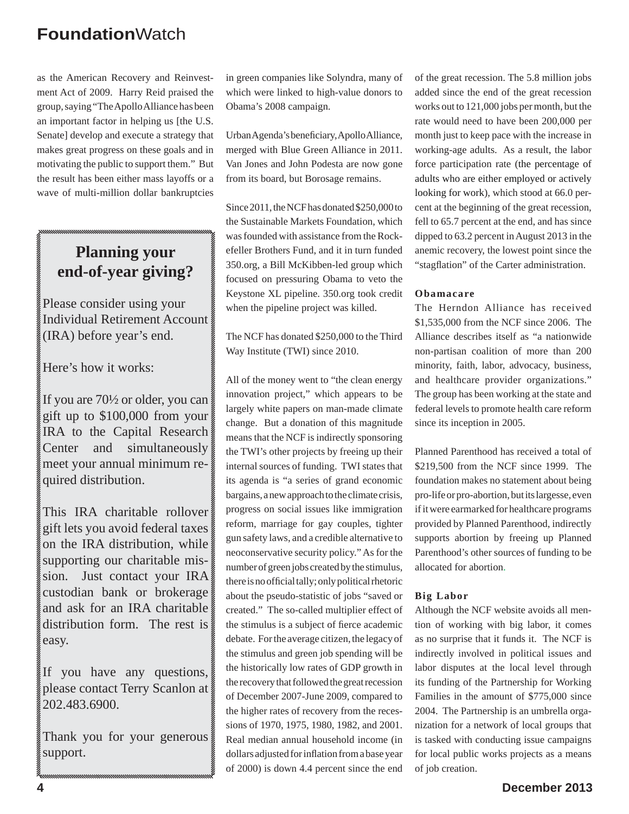as the American Recovery and Reinvestment Act of 2009. Harry Reid praised the group, saying "The Apollo Alliance has been an important factor in helping us [the U.S. Senate] develop and execute a strategy that makes great progress on these goals and in motivating the public to support them." But the result has been either mass layoffs or a wave of multi-million dollar bankruptcies

### **Planning your end-of-year giving?**

Please consider using your Individual Retirement Account (IRA) before year's end.

Here's how it works:

If you are 70½ or older, you can gift up to \$100,000 from your IRA to the Capital Research Center and simultaneously meet your annual minimum required distribution.

This IRA charitable rollover gift lets you avoid federal taxes on the IRA distribution, while supporting our charitable mission. Just contact your IRA custodian bank or brokerage and ask for an IRA charitable distribution form. The rest is easy.

If you have any questions, please contact Terry Scanlon at 202.483.6900.

Thank you for your generous support.

in green companies like Solyndra, many of which were linked to high-value donors to Obama's 2008 campaign.

Urban Agenda's beneficiary, Apollo Alliance, merged with Blue Green Alliance in 2011. Van Jones and John Podesta are now gone from its board, but Borosage remains.

Since 2011, the NCF has donated \$250,000 to the Sustainable Markets Foundation, which was founded with assistance from the Rockefeller Brothers Fund, and it in turn funded 350.org, a Bill McKibben-led group which focused on pressuring Obama to veto the Keystone XL pipeline. 350.org took credit when the pipeline project was killed.

The NCF has donated \$250,000 to the Third Way Institute (TWI) since 2010.

All of the money went to "the clean energy innovation project," which appears to be largely white papers on man-made climate change. But a donation of this magnitude means that the NCF is indirectly sponsoring the TWI's other projects by freeing up their internal sources of funding. TWI states that its agenda is "a series of grand economic bargains, a new approach to the climate crisis, progress on social issues like immigration reform, marriage for gay couples, tighter gun safety laws, and a credible alternative to neoconservative security policy." As for the number of green jobs created by the stimulus, there is no official tally; only political rhetoric about the pseudo-statistic of jobs "saved or created." The so-called multiplier effect of the stimulus is a subject of fierce academic debate. For the average citizen, the legacy of the stimulus and green job spending will be the historically low rates of GDP growth in the recovery that followed the great recession of December 2007-June 2009, compared to the higher rates of recovery from the recessions of 1970, 1975, 1980, 1982, and 2001. Real median annual household income (in dollars adjusted for inflation from a base year of 2000) is down 4.4 percent since the end of the great recession. The 5.8 million jobs added since the end of the great recession works out to 121,000 jobs per month, but the rate would need to have been 200,000 per month just to keep pace with the increase in working-age adults. As a result, the labor force participation rate (the percentage of adults who are either employed or actively looking for work), which stood at 66.0 percent at the beginning of the great recession, fell to 65.7 percent at the end, and has since dipped to 63.2 percent in August 2013 in the anemic recovery, the lowest point since the "stagflation" of the Carter administration.

#### **Obamacare**

The Herndon Alliance has received \$1,535,000 from the NCF since 2006. The Alliance describes itself as "a nationwide non-partisan coalition of more than 200 minority, faith, labor, advocacy, business, and healthcare provider organizations." The group has been working at the state and federal levels to promote health care reform since its inception in 2005.

Planned Parenthood has received a total of \$219,500 from the NCF since 1999. The foundation makes no statement about being pro-life or pro-abortion, but its largesse, even if it were earmarked for healthcare programs provided by Planned Parenthood, indirectly supports abortion by freeing up Planned Parenthood's other sources of funding to be allocated for abortion.

#### **Big Labor**

Although the NCF website avoids all mention of working with big labor, it comes as no surprise that it funds it. The NCF is indirectly involved in political issues and labor disputes at the local level through its funding of the Partnership for Working Families in the amount of \$775,000 since 2004. The Partnership is an umbrella organization for a network of local groups that is tasked with conducting issue campaigns for local public works projects as a means of job creation.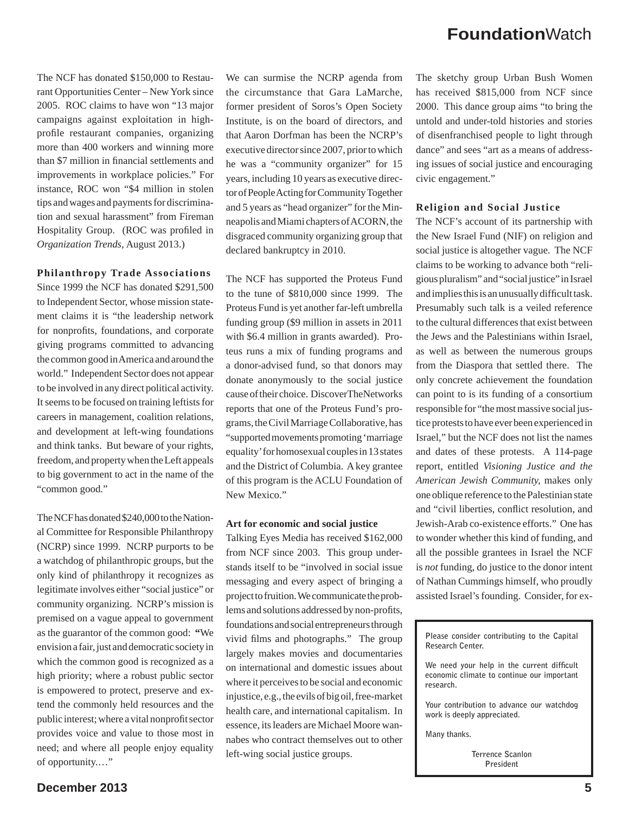The NCF has donated \$150,000 to Restaurant Opportunities Center – New York since 2005. ROC claims to have won "13 major campaigns against exploitation in highprofile restaurant companies, organizing more than 400 workers and winning more than \$7 million in financial settlements and improvements in workplace policies." For instance, ROC won "\$4 million in stolen tips and wages and payments for discrimination and sexual harassment" from Fireman Hospitality Group. (ROC was profiled in *Organization Trends*, August 2013.)

#### **Philanthropy Trade Associations**

Since 1999 the NCF has donated \$291,500 to Independent Sector, whose mission statement claims it is "the leadership network for nonprofits, foundations, and corporate giving programs committed to advancing the common good in America and around the world." Independent Sector does not appear to be involved in any direct political activity. It seems to be focused on training leftists for careers in management, coalition relations, and development at left-wing foundations and think tanks. But beware of your rights, freedom, and property when the Left appeals to big government to act in the name of the "common good."

The NCF has donated \$240,000 to the National Committee for Responsible Philanthropy (NCRP) since 1999. NCRP purports to be a watchdog of philanthropic groups, but the only kind of philanthropy it recognizes as legitimate involves either "social justice" or community organizing. NCRP's mission is premised on a vague appeal to government as the guarantor of the common good: **"**We envision a fair, just and democratic societyin which the common good is recognized as a high priority; where a robust public sector is empowered to protect, preserve and extend the commonly held resources and the public interest; where a vital nonprofit sector provides voice and value to those most in need; and where all people enjoy equality of opportunity.…"

We can surmise the NCRP agenda from the circumstance that Gara LaMarche, former president of Soros's Open Society Institute, is on the board of directors, and that Aaron Dorfman has been the NCRP's executive director since 2007, prior to which he was a "community organizer" for 15 years, including 10 years as executive director of People Acting for Community Together and 5 years as "head organizer" for the Minneapolis and Miami chapters of ACORN, the disgraced community organizing group that declared bankruptcy in 2010.

The NCF has supported the Proteus Fund to the tune of \$810,000 since 1999. The Proteus Fund is yet another far-left umbrella funding group (\$9 million in assets in 2011 with \$6.4 million in grants awarded). Proteus runs a mix of funding programs and a donor-advised fund, so that donors may donate anonymously to the social justice cause of their choice. DiscoverTheNetworks reports that one of the Proteus Fund's programs, the Civil Marriage Collaborative, has "supported movements promoting 'marriage equality' for homosexual couples in 13 states and the District of Columbia. A key grantee of this program is the ACLU Foundation of New Mexico."

#### **Art for economic and social justice**

Talking Eyes Media has received \$162,000 from NCF since 2003. This group understands itself to be "involved in social issue messaging and every aspect of bringing a project to fruition. We communicate the problems and solutions addressed by non-profits, foundations and social entrepreneurs through vivid films and photographs." The group largely makes movies and documentaries on international and domestic issues about where it perceives to be social and economic injustice, e.g., the evils of big oil, free-market health care, and international capitalism. In essence, its leaders are Michael Moore wannabes who contract themselves out to other left-wing social justice groups.

The sketchy group Urban Bush Women has received \$815,000 from NCF since 2000. This dance group aims "to bring the untold and under-told histories and stories of disenfranchised people to light through dance" and sees "art as a means of addressing issues of social justice and encouraging civic engagement."

#### **Religion and Social Justice**

The NCF's account of its partnership with the New Israel Fund (NIF) on religion and social justice is altogether vague. The NCF claims to be working to advance both "religious pluralism" and "social justice" in Israel and implies this is an unusually difficult task. Presumably such talk is a veiled reference to the cultural differences that exist between the Jews and the Palestinians within Israel, as well as between the numerous groups from the Diaspora that settled there. The only concrete achievement the foundation can point to is its funding of a consortium responsible for "the most massive social justice protests to have ever been experienced in Israel," but the NCF does not list the names and dates of these protests. A 114-page report, entitled *Visioning Justice and the American Jewish Community,* makes only one oblique reference to the Palestinian state and "civil liberties, conflict resolution, and Jewish-Arab co-existence efforts." One has to wonder whether this kind of funding, and all the possible grantees in Israel the NCF is *not* funding, do justice to the donor intent of Nathan Cummings himself, who proudly assisted Israel's founding. Consider, for ex-

We need your help in the current difficult **economic climate to continue our important research.** 

**Your contribution to advance our watchdog work is deeply appreciated.** 

**Many thanks.** 

**Terrence Scanlon President**

**Please consider contributing to the Capital Research Center.**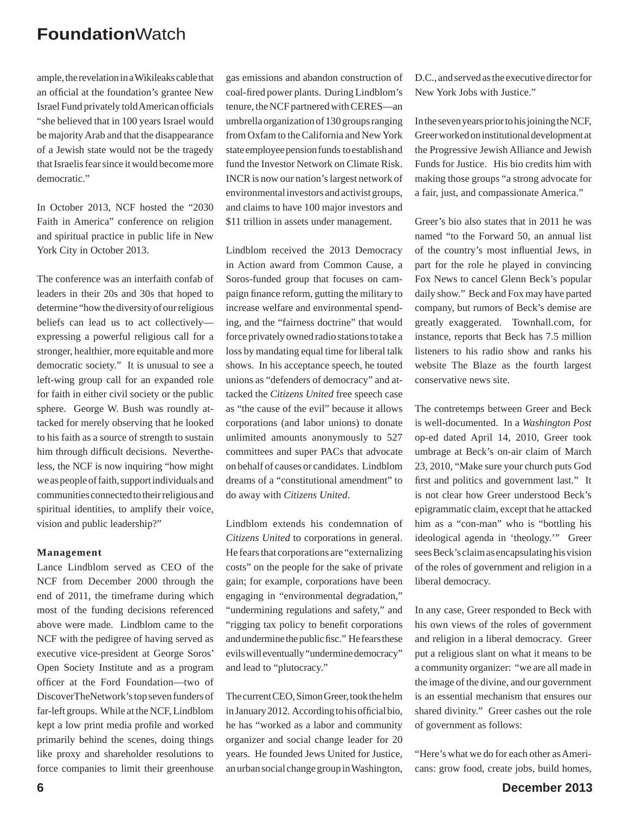ample, the revelation in a Wikileaks cable that an official at the foundation's grantee New Israel Fund privately told American officials "she believed that in 100 years Israel would be majority Arab and that the disappearance of a Jewish state would not be the tragedy that Israelis fear since it would become more democratic."

In October 2013, NCF hosted the "2030 Faith in America" conference on religion and spiritual practice in public life in New York City in October 2013.

The conference was an interfaith confab of leaders in their 20s and 30s that hoped to determine "how the diversity of our religious beliefs can lead us to act collectively expressing a powerful religious call for a stronger, healthier, more equitable and more democratic society." It is unusual to see a left-wing group call for an expanded role for faith in either civil society or the public sphere. George W. Bush was roundly attacked for merely observing that he looked to his faith as a source of strength to sustain him through difficult decisions. Nevertheless, the NCF is now inquiring "how might we as people of faith, support individuals and communities connected to their religious and spiritual identities, to amplify their voice, vision and public leadership?"

#### **Management**

Lance Lindblom served as CEO of the NCF from December 2000 through the end of 2011, the timeframe during which most of the funding decisions referenced above were made. Lindblom came to the NCF with the pedigree of having served as executive vice-president at George Soros' Open Society Institute and as a program officer at the Ford Foundation—two of DiscoverTheNetwork's top seven funders of far-left groups. While at the NCF, Lindblom kept a low print media profile and worked primarily behind the scenes, doing things like proxy and shareholder resolutions to force companies to limit their greenhouse

gas emissions and abandon construction of coal-fired power plants. During Lindblom's tenure, the NCF partnered with CERES—an umbrella organization of 130 groups ranging from Oxfam to the California and New York state employee pension funds to establish and fund the Investor Network on Climate Risk. INCR is now our nation's largest network of environmental investors and activist groups, and claims to have 100 major investors and \$11 trillion in assets under management.

Lindblom received the 2013 Democracy in Action award from Common Cause, a Soros-funded group that focuses on campaign finance reform, gutting the military to increase welfare and environmental spending, and the "fairness doctrine" that would force privately owned radio stations to take a loss by mandating equal time for liberal talk shows. In his acceptance speech, he touted unions as "defenders of democracy" and attacked the *Citizens United* free speech case as "the cause of the evil" because it allows corporations (and labor unions) to donate unlimited amounts anonymously to 527 committees and super PACs that advocate on behalf of causes or candidates. Lindblom dreams of a "constitutional amendment" to do away with *Citizens United*.

Lindblom extends his condemnation of *Citizens United* to corporations in general. He fears that corporations are "externalizing costs" on the people for the sake of private gain; for example, corporations have been engaging in "environmental degradation," "undermining regulations and safety," and "rigging tax policy to benefit corporations" and undermine the public fisc." He fears these evils will eventually "undermine democracy" and lead to "plutocracy."

The current CEO, Simon Greer, took the helm in January 2012. According to his official bio, he has "worked as a labor and community organizer and social change leader for 20 years. He founded Jews United for Justice, an urban social change group in Washington, D.C., and served as the executive director for New York Jobs with Justice."

In the seven years prior to his joining the NCF, Greer worked on institutional development at the Progressive Jewish Alliance and Jewish Funds for Justice. His bio credits him with making those groups "a strong advocate for a fair, just, and compassionate America."

Greer's bio also states that in 2011 he was named "to the Forward 50, an annual list of the country's most influential Jews, in part for the role he played in convincing Fox News to cancel Glenn Beck's popular daily show." Beck and Fox may have parted company, but rumors of Beck's demise are greatly exaggerated. Townhall.com, for instance, reports that Beck has 7.5 million listeners to his radio show and ranks his website The Blaze as the fourth largest conservative news site.

The contretemps between Greer and Beck is well-documented. In a *Washington Post* op-ed dated April 14, 2010, Greer took umbrage at Beck's on-air claim of March 23, 2010, "Make sure your church puts God first and politics and government last." It is not clear how Greer understood Beck's epigrammatic claim, except that he attacked him as a "con-man" who is "bottling his ideological agenda in 'theology.'" Greer sees Beck's claim as encapsulating his vision of the roles of government and religion in a liberal democracy.

In any case, Greer responded to Beck with his own views of the roles of government and religion in a liberal democracy. Greer put a religious slant on what it means to be a community organizer: "we are all made in the image of the divine, and our government is an essential mechanism that ensures our shared divinity." Greer cashes out the role of government as follows:

"Here's what we do for each other as Americans: grow food, create jobs, build homes,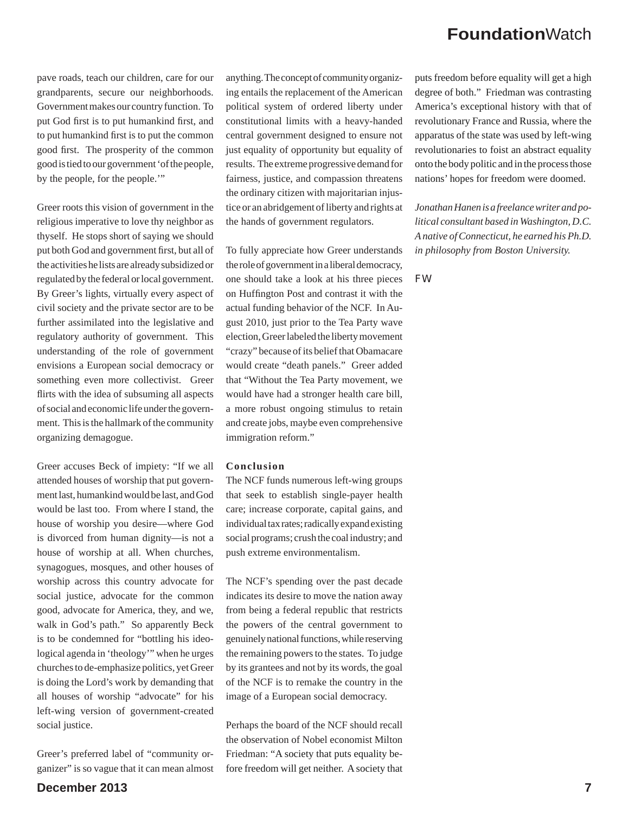pave roads, teach our children, care for our grandparents, secure our neighborhoods. Government makes our country function. To put God first is to put humankind first, and to put humankind first is to put the common good first. The prosperity of the common good is tied to our government 'of the people, by the people, for the people.'"

Greer roots this vision of government in the religious imperative to love thy neighbor as thyself. He stops short of saying we should put both God and government first, but all of the activities he lists are already subsidized or regulated by the federal or local government. By Greer's lights, virtually every aspect of civil society and the private sector are to be further assimilated into the legislative and regulatory authority of government. This understanding of the role of government envisions a European social democracy or something even more collectivist. Greer flirts with the idea of subsuming all aspects of social and economic life under the government. This is the hallmark of the community organizing demagogue.

Greer accuses Beck of impiety: "If we all attended houses of worship that put government last, humankind would be last, and God would be last too. From where I stand, the house of worship you desire—where God is divorced from human dignity—is not a house of worship at all. When churches, synagogues, mosques, and other houses of worship across this country advocate for social justice, advocate for the common good, advocate for America, they, and we, walk in God's path." So apparently Beck is to be condemned for "bottling his ideological agenda in 'theology'" when he urges churches to de-emphasize politics, yet Greer is doing the Lord's work by demanding that all houses of worship "advocate" for his left-wing version of government-created social justice.

Greer's preferred label of "community organizer" is so vague that it can mean almost anything. The concept of community organizing entails the replacement of the American political system of ordered liberty under constitutional limits with a heavy-handed central government designed to ensure not just equality of opportunity but equality of results. The extreme progressive demand for fairness, justice, and compassion threatens the ordinary citizen with majoritarian injustice or an abridgement of liberty and rights at the hands of government regulators.

To fully appreciate how Greer understands the role of government in a liberal democracy, one should take a look at his three pieces on Huffington Post and contrast it with the actual funding behavior of the NCF. In August 2010, just prior to the Tea Party wave election, Greer labeled the liberty movement "crazy" because of its belief that Obamacare would create "death panels." Greer added that "Without the Tea Party movement, we would have had a stronger health care bill, a more robust ongoing stimulus to retain and create jobs, maybe even comprehensive immigration reform."

#### **Conclusion**

The NCF funds numerous left-wing groups that seek to establish single-payer health care; increase corporate, capital gains, and individual tax rates; radically expand existing social programs; crush the coal industry; and push extreme environmentalism.

The NCF's spending over the past decade indicates its desire to move the nation away from being a federal republic that restricts the powers of the central government to genuinely national functions, while reserving the remaining powers to the states. To judge by its grantees and not by its words, the goal of the NCF is to remake the country in the image of a European social democracy.

Perhaps the board of the NCF should recall the observation of Nobel economist Milton Friedman: "A society that puts equality before freedom will get neither. A society that

puts freedom before equality will get a high degree of both." Friedman was contrasting America's exceptional history with that of revolutionary France and Russia, where the apparatus of the state was used by left-wing revolutionaries to foist an abstract equality onto the body politic and in the process those nations' hopes for freedom were doomed.

*Jonathan Hanen is a freelance writer and political consultant based in Washington, D.C. A native of Connecticut, he earned his Ph.D. in philosophy from Boston University.*

*FW*